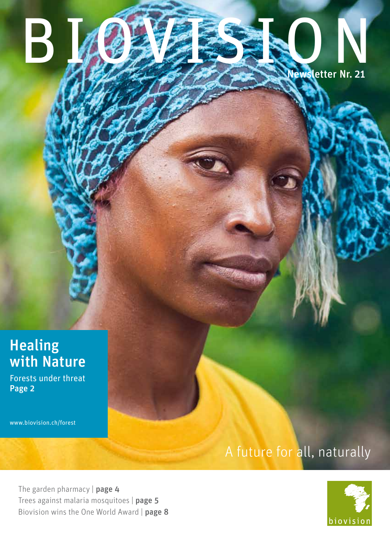## **Healing** with Nature

Forests under threat Page 2

www.biovision.ch/forest

# A future for all, naturally

Newsletter Nr. 21

BIOGRESS N

The garden pharmacy | page 4 Trees against malaria mosquitoes | page 5 Biovision wins the One World Award | page 8

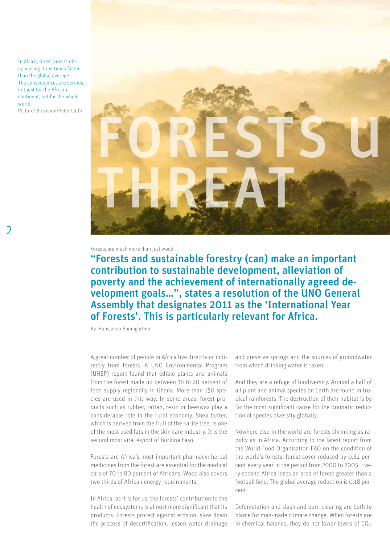In Africa, forest area is disappearing three times faster than the global average. The consequences are serious, not just for the African continent, but for the whole world.

Picture: Biovision/Peter Lüthi



Forests are much more than just wood

"Forests and sustainable forestry (can) make an important contribution to sustainable development, alleviation of poverty and the achievement of internationally agreed development goals…", states a resolution of the UNO General Assembly that designates 2011 as the 'International Year of Forests'. This is particularly relevant for Africa.

By Hansjakob Baumgartner

A great number of people in Africa live directly or indirectly from forests. A UNO Environmental Program (UNEP) report found that edible plants and animals from the forest made up between 16 to 20 percent of food supply regionally in Ghana. More than 150 species are used in this way. In some areas, forest products such as rubber, rattan, resin or beeswax play a considerable role in the rural economy. Shea butter, which is derived from the fruit of the karite tree, is one of the most used fats in the skin care industry. It is the second most vital export of Burkina Faso.

Forests are Africa's most important pharmacy: herbal medicines from the forest are essential for the medical care of 70 to 80 percent of Africans. Wood also covers two thirds of African energy requirements.

In Africa, as it is for us, the forests' contribution to the health of ecosystems is almost more significant that its products: Forests protect against erosion, slow down the process of desertification, lessen water drainage

and preserve springs and the sources of groundwater from which drinking water is taken.

And they are a refuge of biodiversity. Around a half of all plant and animal species on Earth are found in tropical rainforests. The destruction of their habitat is by far the most significant cause for the dramatic reduction of species diversity globally.

Nowhere else in the world are forests shrinking as rapidly as in Africa. According to the latest report from the World Food Organisation FAO on the condition of the world's forests, forest cover reduced by 0.62 percent every year in the period from 2000 to 2005. Every second Africa loses an area of forest greater than a football field. The global average reduction is 0.18 percent.

Deforestation and slash and burn clearing are both to blame for man-made climate change. When forests are in chemical balance, they do not lower levels of CO2,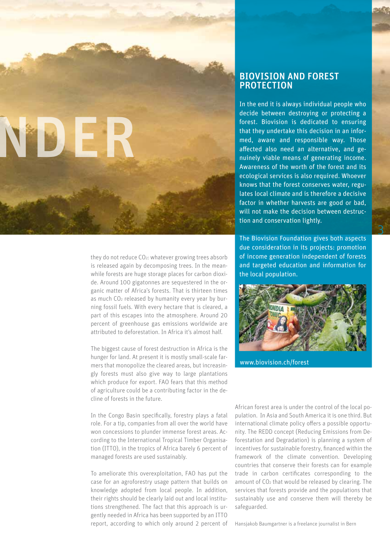

they do not reduce CO<sub>2</sub>: whatever growing trees absorb is released again by decomposing trees. In the meanwhile forests are huge storage places for carbon dioxide. Around 100 gigatonnes are sequestered in the organic matter of Africa's forests. That is thirteen times as much CO<sub>2</sub> released by humanity every year by burning fossil fuels. With every hectare that is cleared, a part of this escapes into the atmosphere. Around 20 percent of greenhouse gas emissions worldwide are attributed to deforestation. In Africa it's almost half.

The biggest cause of forest destruction in Africa is the hunger for land. At present it is mostly small-scale farmers that monopolize the cleared areas, but increasingly forests must also give way to large plantations which produce for export. FAO fears that this method of agriculture could be a contributing factor in the decline of forests in the future.

In the Congo Basin specifically, forestry plays a fatal role. For a tip, companies from all over the world have won concessions to plunder immense forest areas. According to the International Tropical Timber Organisation (ITTO), in the tropics of Africa barely 6 percent of managed forests are used sustainably.

To ameliorate this overexploitation, FAO has put the case for an agroforestry usage pattern that builds on knowledge adopted from local people. In addition, their rights should be clearly laid out and local institutions strengthened. The fact that this approach is urgently needed in Africa has been supported by an ITTO report, according to which only around 2 percent of

### BIOVISION AND FOREST PROTECTION

In the end it is always individual people who decide between destroying or protecting a forest. Biovision is dedicated to ensuring that they undertake this decision in an informed, aware and responsible way. Those affected also need an alternative, and genuinely viable means of generating income. Awareness of the worth of the forest and its ecological services is also required. Whoever knows that the forest conserves water, regulates local climate and is therefore a decisive factor in whether harvests are good or bad, will not make the decision between destruction and conservation lightly.

The Biovision Foundation gives both aspects due consideration in its projects: promotion of income generation independent of forests and targeted education and information for the local population.



www.biovision.ch/forest

African forest area is under the control of the local population. In Asia and South America it is one third. But international climate policy offers a possible opportunity. The REDD concept (Reducing Emissions from Deforestation and Degradation) is planning a system of incentives for sustainable forestry, financed within the framework of the climate convention. Developing countries that conserve their forests can for example trade in carbon certificates corresponding to the amount of CO2 that would be released by clearing. The services that forests provide and the populations that sustainably use and conserve them will thereby be safeguarded.

Hansjakob Baumgartner is a freelance journalist in Bern

3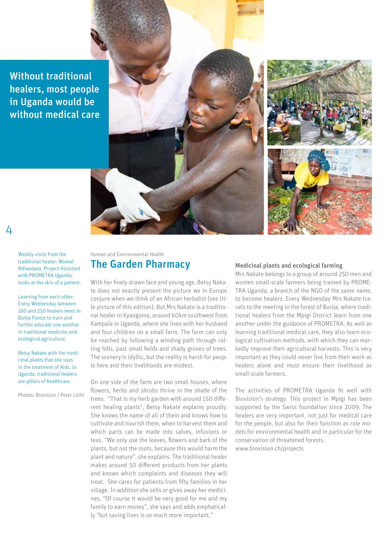Without traditional healers, most people in Uganda would be without medical care



Weekly visits from the traditional healer: Wumal Ndiwalana, Project Assistant with PROMETRA Uganda, looks at the skin of a patient.

 $\Delta$ 

Learning from each other: Every Wednesday between 160 and 250 healers meet in Buiija Forest to train and further educate one another in traditional medicine and ecological agriculture.

Betsy Nakate with the medicinal plants that she uses in the treatment of Aids. In Uganda, traditional healers are pillars of healthcare.

Photos: Biovision / Peter Lüthi

### Human and Environmental Health The Garden Pharmacy

With her finely drawn face and young age, Betsy Nakate does not exactly present the picture we in Europe conjure when we think of an African herbalist (see title picture of this edition). But Mrs Nakate is a traditional healer in Kyangoma, around 60km southwest from Kampala in Uganda, where she lives with her husband and four children on a small farm. The farm can only be reached by following a winding path through rolling hills, past small fields and shady groves of trees. The scenery is idyllic, but the reality is harsh for people here and their livelihoods are modest.

On one side of the farm are two small houses, where flowers, herbs and shrubs thrive in the shade of the trees. "That is my herb garden with around 150 different healing plants", Betsy Nakate explains proudly. She knows the name of all of them and knows how to cultivate and nourish them, when to harvest them and which parts can be made into salves, infusions or teas. "We only use the leaves, flowers and bark of the plants, but not the roots, because this would harm the plant and nature", she explains. The traditional healer makes around 50 different products from her plants and knows which complaints and diseases they will treat. She cares for patients from fifty families in her village. In addition she sells or gives away her medicines. "Of course it would be very good for me and my family to earn money", she says and adds emphatically "but saving lives is so much more important."

#### Medicinal plants and ecological farming

Mrs Nakate belongs to a group of around 250 men and women small-scale farmers being trained by PROME-TRA Uganda, a branch of the NGO of the same name, to become healers. Every Wednesday Mrs Nakate travels to the meeting in the forest of Buiija, where traditional healers from the Mpigi District learn from one another under the guidance of PROMETRA. As well as learning traditional medical care, they also learn ecological cultivation methods, with which they can markedly improve their agricultural harvests. This is very important as they could never live from their work as healers alone and must ensure their livelihood as small-scale farmers.

The activities of PROMETRA Uganda fit well with Biovision's strategy. This project in Mpigi has been supported by the Swiss foundation since 2009. The healers are very important, not just for medical care for the people, but also for their function as role models for environmental health and in particular for the conservation of threatened forests. www.biovision.ch/projects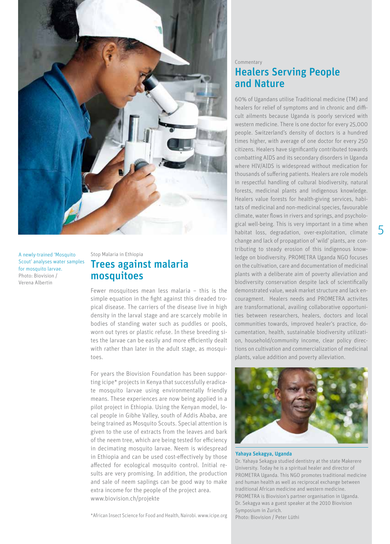

A newly-trained 'Mosquito Scout' analyses water samples for mosquito larvae. Photo: Biovision / Verena Albertin

### Stop Malaria in Ethiopia Trees against malaria mosquitoes

Fewer mosquitoes mean less malaria – this is the simple equation in the fight against this dreaded tropical disease. The carriers of the disease live in high density in the larval stage and are scarcely mobile in bodies of standing water such as puddles or pools, worn out tyres or plastic refuse. In these breeding sites the larvae can be easily and more efficiently dealt with rather than later in the adult stage, as mosquitoes.

For years the Biovision Foundation has been supporting icipe\* projects in Kenya that successfully eradicate mosquito larvae using environmentally friendly means. These experiences are now being applied in a pilot project in Ethiopia. Using the Kenyan model, local people in Gibhe Valley, south of Addis Ababa, are being trained as Mosquito Scouts. Special attention is given to the use of extracts from the leaves and bark of the neem tree, which are being tested for efficiency in decimating mosquito larvae. Neem is widespread in Ethiopia and can be used cost-effectively by those affected for ecological mosquito control. Initial results are very promising. In addition, the production and sale of neem saplings can be good way to make extra income for the people of the project area. www.biovision.ch/projekte

\*African Insect Science for Food and Health, Nairobi. www.icipe.org

### Commentary Healers Serving People and Nature

60% of Ugandans utilise Traditional medicine (TM) and healers for relief of symptoms and in chronic and difficult ailments because Uganda is poorly serviced with western medicine. There is one doctor for every 25,000 people. Switzerland's density of doctors is a hundred times higher, with average of one doctor for every 250 citizens. Healers have significantly contributed towards combatting AIDS and its secondary disorders in Uganda where HIV/AIDS is widespread without medication for thousands of suffering patients. Healers are role models in respectful handling of cultural biodiversity, natural forests, medicinal plants and indigenous knowledge. Healers value forests for health-giving services, habitats of medicinal and non-medicinal species, favourable climate, water flows in rivers and springs, and psychological well-being. This is very important in a time when habitat loss, degradation, over-exploitation, climate change and lack of propagation of 'wild' plants, are contributing to steady erosion of this indigenous knowledge on biodiversity. PROMETRA Uganda NGO focuses on the cultivation, care and documentation of medicinal plants with a deliberate aim of poverty alleviation and biodiversity conservation despite lack of scientifically demonstrated value, weak market structure and lack encouragment. Healers needs and PROMETRA activites are transformational, availing collaborative opportunities between researchers, healers, doctors and local communities towards, improved healer's practice, documentation, health, sustainable biodiversity utilization, household/community income, clear policy directions on cultivation and commercialization of medicinal plants, value addition and poverty alleviation.



#### Yahaya Sekagya, Uganda

Dr. Yahaya Sekagya studied dentistry at the state Makerere University. Today he is a spiritual healer and director of PROMETRA Uganda. This NGO promotes traditional medicine and human health as well as reciprocal exchange between traditional African medicine and western medicine. PROMETRA is Biovision's partner organisation in Uganda. Dr. Sekagya was a guest speaker at the 2010 Biovision Symposium in Zurich.

Photo: Biovision / Peter Lüthi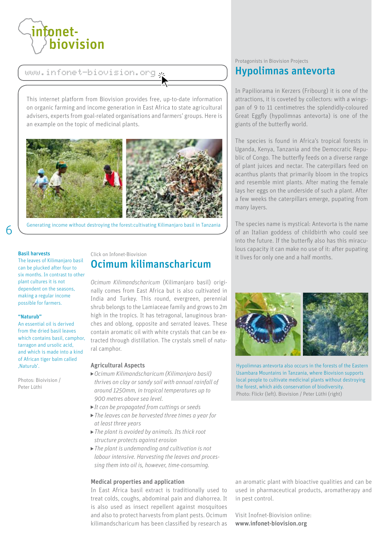

www.infonet-biovision.org

This internet platform from Biovision provides free, up-to-date information on organic farming and income generation in East Africa to state agricultural advisers, experts from goal-related organisations and farmers' groups. Here is an example on the topic of medicinal plants.



Generating income without destroying the forest:cultivating Kilimanjaro basil in Tanzania

#### Basil harvests

The leaves of Kilimanjaro basil can be plucked after four to six months. In contrast to other plant cultures it is not dependent on the seasons, making a regular income possible for farmers.

#### "Naturub"

An essential oil is derived from the dried basil leaves which contains basil, camphor, tarragon and ursolic acid, and which is made into a kind of African tiger balm called 'Naturub'.

Photos: Bioivision / Peter Lüthi

### Click on Infonet-Biovision Ocimum kilimanscharicum

*Ocimum Kilimandscharicum* (Kilimanjaro basil) originally comes from East Africa but is also cultivated in India and Turkey. This round, evergreen, perennial shrub belongs to the Lamiaceae family and grows to 2m high in the tropics. It has tetragonal, lanuginous branches and oblong, opposite and serrated leaves. These contain aromatic oil with white crystals that can be extracted through distillation. The crystals smell of natural camphor.

#### Agricultural Aspects

- *Ocimum Kilimandscharicum (Kilimanjaro basil) thrives on clay or sandy soil with annual rainfall of around 1250mm, in tropical temperatures up to 900 metres above sea level.*
- *It can be propagated from cuttings or seeds*
- *The leaves can be harvested three times a year for at least three years*
- *The plant is avoided by animals. Its thick root structure protects against erosion*
- *The plant is undemanding and cultivation is not labour intensive. Harvesting the leaves and processing them into oil is, however, time-consuming.*

#### Medical properties and application

In East Africa basil extract is traditionally used to treat colds, coughs, abdominal pain and diahorrea. It is also used as insect repellent against mosquitoes and also to protect harvests from plant pests. Ocimum kilimandscharicum has been classified by research as

### Protagonists in Biovision Projects Hypolimnas antevorta

In Papiliorama in Kerzers (Fribourg) it is one of the attractions, it is coveted by collectors: with a wingspan of 9 to 11 centimetres the splendidly-coloured Great Eggfly (hypolimnas antevorta) is one of the giants of the butterfly world.

The species is found in Africa's tropical forests in Uganda, Kenya, Tanzania and the Democratic Republic of Congo. The butterfly feeds on a diverse range of plant juices and nectar. The caterpillars feed on acanthus plants that primarily bloom in the tropics and resemble mint plants. After mating the female lays her eggs on the underside of such a plant. After a few weeks the caterpillars emerge, pupating from many layers.

The species name is mystical: Antevorta is the name of an Italian goddess of childbirth who could see into the future. If the butterfly also has this miraculous capacity it can make no use of it: after pupating it lives for only one and a half months.



Hypolimnas antevorta also occurs in the forests of the Eastern Usambara Mountains in Tanzania, where Biovision supports local people to cultivate medicinal plants without destroying the forest, which aids conservation of biodiversity. Photo: Flickr (left). Biovision / Peter Lüthi (right)

an aromatic plant with bioactive qualities and can be used in pharmaceutical products, aromatherapy and in pest control.

Visit Inofnet-Biovision online: www.infonet-biovision.org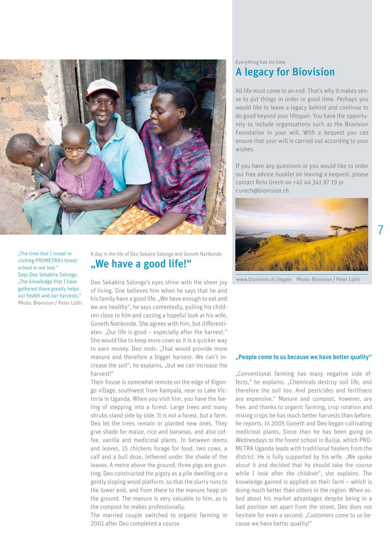

"The time that I invest in visiting PROMETRA's forest school is not lost." Says Deo Sekabira Salongo. "The knowledge that I have gathered there greatly helps our health and our harvests." Photo: Biovision / Peter Lüthi

A day in the life of Deo Sekaira Salongo and Goneth Natikonde "We have a good life!"

Deo Sekabira Salongo's eyes shine with the sheer joy of living. One believes him when he says that he and his family have a good life. "We have enough to eat and we are healthy", he says contentedly, pulling his children close to him and casting a hopeful look at his wife, Goneth Natikonde. She agrees with him, but differentiates: "Our life is good - especially after the harvest." She would like to keep more cows as it is a quicker way to earn money. Deo nods: "That would provide more manure and therefore a bigger harvest. We can't increase the soil", he explains, "but we can increase the harvest!"

Their house is somewhat remote on the edge of Kigongo village, southwest from Kampala, near to Lake Victoria in Uganda. When you visit him, you have the feeling of stepping into a forest. Large trees and many shrubs stand side by side. It is not a forest, but a farm. Deo let the trees remain or planted new ones. They give shade for maize, rice and bananas, and also coffee, vanilla and medicinal plants. In between stems and leaves, 15 chickens forage for food, two cows, a calf and a bull doze, tethered under the shade of the leaves. A metre above the ground, three pigs are grunting. Deo constructed the pigsty as a pile dwelling on a gently sloping wood platform, so that the slurry runs to the lower end, and from there to the manure heap on the ground. The manure is very valuable to him, as is the compost he makes professionally.

The married couple switched to organic farming in 2001 after Deo completed a course.

### Everything has its time A legacy for Biovision

All life must come to an end. That's why it makes sense to put things in order in good time. Perhaps you would like to leave a legacy behind and continue to do good beyond your lifespan. You have the opportunity to include organisations such as the Biovision Foundation in your will. With a bequest you can ensure that your will is carried out according to your wishes.

If you have any questions or you would like to order our free advice booklet on leaving a bequest, please contact Reto Urech on +41 44 341 97 19 or r.urech@biovision.ch



7

www.biovision.ch /legate Photo: Biovision / Peter Lüthi

#### "People come to us because we have better quality"

"Conventional farming has many negative side effects," he explains. "Chemicals destroy soil life, and therefore the soil too. And pesticides and fertilisers are expensive." Manure and compost, however, are free, and thanks to organic farming, crop rotation and mixing crops he has much better harvests than before, he reports. In 2005 Goneth and Deo began cultivating medicinal plants. Since then he has been going on Wednesdays to the forest school in Buiija, which PRO-METRA Uganda leads with traditional healers from the district. He is fully supported by his wife. "We spoke about it and decided that he should take the course while I look after the children", she explains. The knowledge gained is applied on their farm – which is doing much better than others in the region. When asked about his market advantages despite being in a bad position set apart from the street, Deo does not hesitate for even a second: "Customers come to us because we have better quality!"